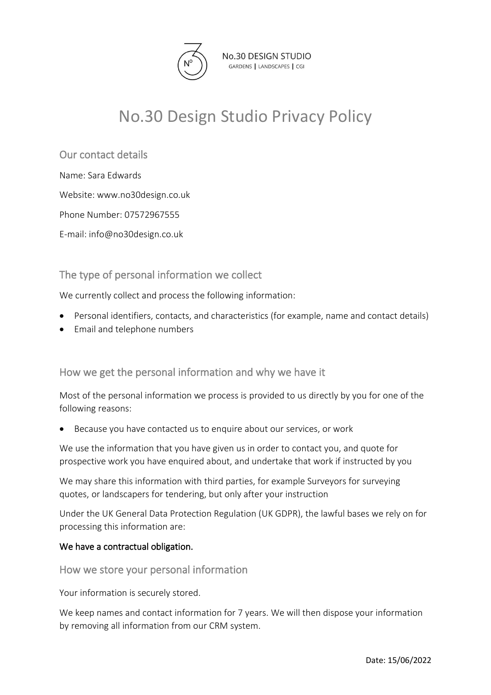

No.30 DESIGN STUDIO GARDENS | LANDSCAPES | CGI

# No.30 Design Studio Privacy Policy

Our contact details

Name: Sara Edwards

Website: www.no30design.co.uk

Phone Number: 07572967555

E-mail: info@no30design.co.uk

## The type of personal information we collect

We currently collect and process the following information:

- Personal identifiers, contacts, and characteristics (for example, name and contact details)
- Email and telephone numbers

How we get the personal information and why we have it

Most of the personal information we process is provided to us directly by you for one of the following reasons:

• Because you have contacted us to enquire about our services, or work

We use the information that you have given us in order to contact you, and quote for prospective work you have enquired about, and undertake that work if instructed by you

We may share this information with third parties, for example Surveyors for surveying quotes, or landscapers for tendering, but only after your instruction

Under the UK General Data Protection Regulation (UK GDPR), the lawful bases we rely on for processing this information are:

#### We have a contractual obligation.

How we store your personal information

Your information is securely stored.

We keep names and contact information for 7 years. We will then dispose your information by removing all information from our CRM system.